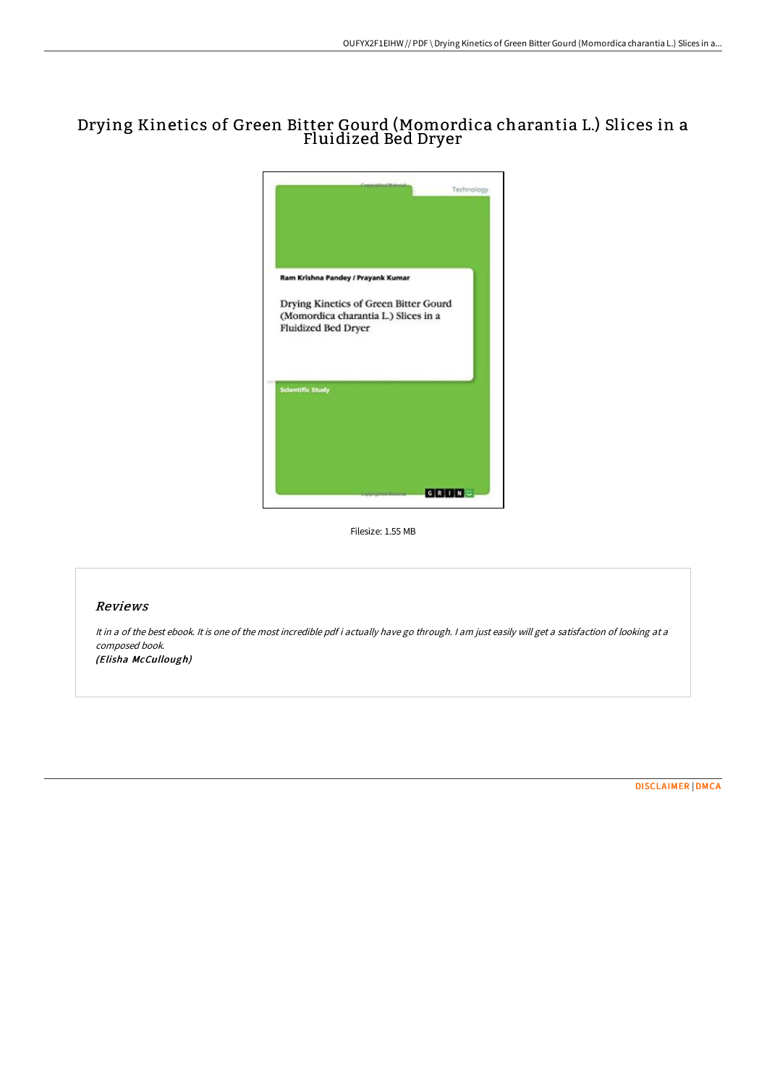# Drying Kinetics of Green Bitter Gourd (Momordica charantia L.) Slices in a Fluidized Bed Dryer



Filesize: 1.55 MB

#### Reviews

It in <sup>a</sup> of the best ebook. It is one of the most incredible pdf i actually have go through. <sup>I</sup> am just easily will get <sup>a</sup> satisfaction of looking at <sup>a</sup> composed book. (Elisha McCullough)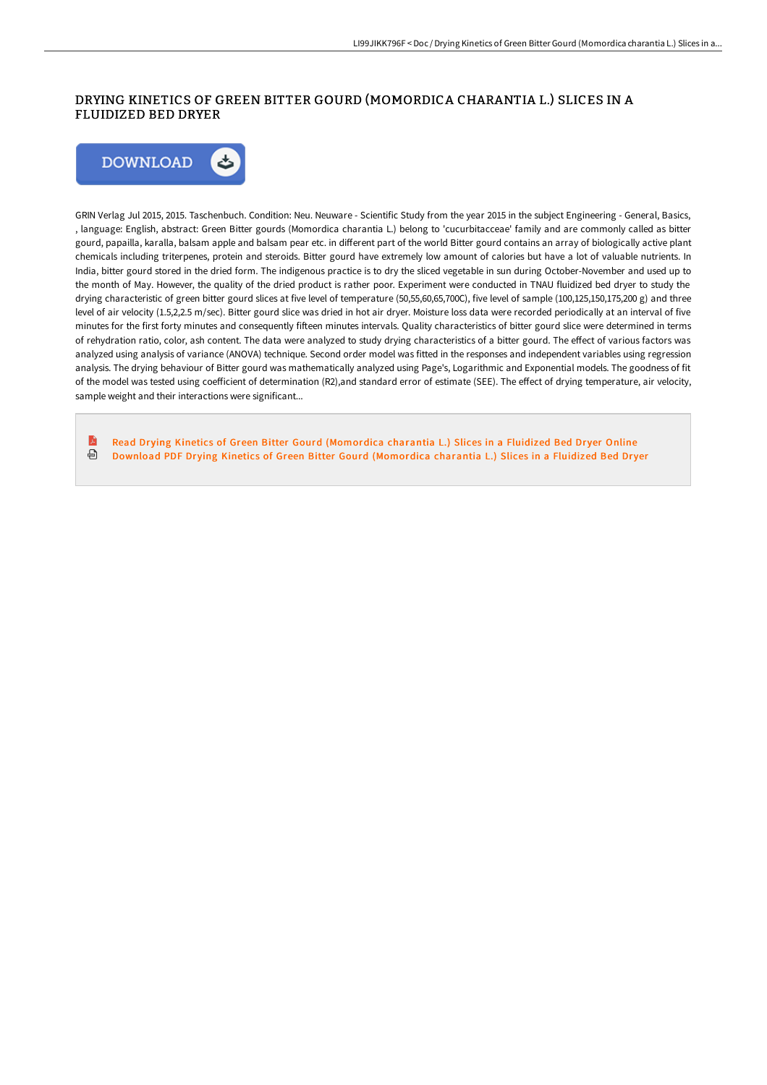## DRYING KINETICS OF GREEN BITTER GOURD (MOMORDICA CHARANTIA L.) SLICES IN A FLUIDIZED BED DRYER



GRIN Verlag Jul 2015, 2015. Taschenbuch. Condition: Neu. Neuware - Scientific Study from the year 2015 in the subject Engineering - General, Basics, , language: English, abstract: Green Bitter gourds (Momordica charantia L.) belong to 'cucurbitacceae' family and are commonly called as bitter gourd, papailla, karalla, balsam apple and balsam pear etc. in different part of the world Bitter gourd contains an array of biologically active plant chemicals including triterpenes, protein and steroids. Bitter gourd have extremely low amount of calories but have a lot of valuable nutrients. In India, bitter gourd stored in the dried form. The indigenous practice is to dry the sliced vegetable in sun during October-November and used up to the month of May. However, the quality of the dried product is rather poor. Experiment were conducted in TNAU fluidized bed dryer to study the drying characteristic of green bitter gourd slices at five level of temperature (50,55,60,65,700C), five level of sample (100,125,150,175,200 g) and three level of air velocity (1.5,2,2.5 m/sec). Bitter gourd slice was dried in hot air dryer. Moisture loss data were recorded periodically at an interval of five minutes for the first forty minutes and consequently fifteen minutes intervals. Quality characteristics of bitter gourd slice were determined in terms of rehydration ratio, color, ash content. The data were analyzed to study drying characteristics of a bitter gourd. The effect of various factors was analyzed using analysis of variance (ANOVA) technique. Second order model was fitted in the responses and independent variables using regression analysis. The drying behaviour of Bitter gourd was mathematically analyzed using Page's, Logarithmic and Exponential models. The goodness of fit of the model was tested using coefficient of determination (R2),and standard error of estimate (SEE). The effect of drying temperature, air velocity, sample weight and their interactions were significant...

R Read Drving Kinetics of Green Bitter Gourd [\(Momordica](http://techno-pub.tech/drying-kinetics-of-green-bitter-gourd-momordica-.html) charantia L.) Slices in a Fluidized Bed Drver Online ⊕ Download PDF Drying Kinetics of Green Bitter Gourd [\(Momordica](http://techno-pub.tech/drying-kinetics-of-green-bitter-gourd-momordica-.html) charantia L.) Slices in a Fluidized Bed Dryer